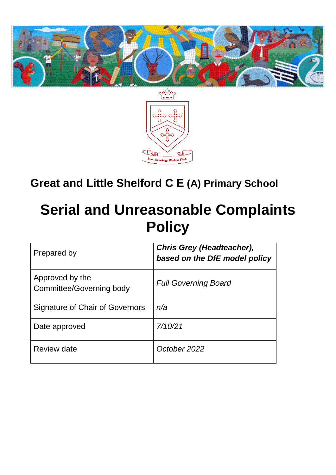



## **Great and Little Shelford C E (A) Primary School**

## **Serial and Unreasonable Complaints Policy**

| Prepared by                                 | <b>Chris Grey (Headteacher),</b><br>based on the DfE model policy |
|---------------------------------------------|-------------------------------------------------------------------|
| Approved by the<br>Committee/Governing body | <b>Full Governing Board</b>                                       |
| Signature of Chair of Governors             | n/a                                                               |
| Date approved                               | 7/10/21                                                           |
| Review date                                 | October 2022                                                      |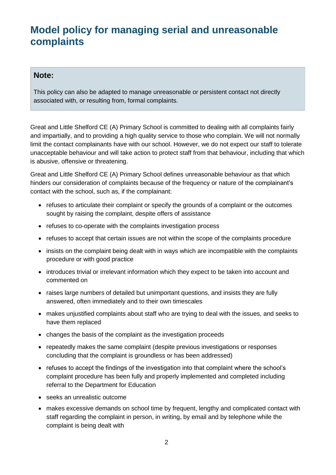## **Model policy for managing serial and unreasonable complaints**

## **Note:**

This policy can also be adapted to manage unreasonable or persistent contact not directly associated with, or resulting from, formal complaints.

Great and Little Shelford CE (A) Primary School is committed to dealing with all complaints fairly and impartially, and to providing a high quality service to those who complain. We will not normally limit the contact complainants have with our school. However, we do not expect our staff to tolerate unacceptable behaviour and will take action to protect staff from that behaviour, including that which is abusive, offensive or threatening.

Great and Little Shelford CE (A) Primary School defines unreasonable behaviour as that which hinders our consideration of complaints because of the frequency or nature of the complainant's contact with the school, such as, if the complainant:

- refuses to articulate their complaint or specify the grounds of a complaint or the outcomes sought by raising the complaint, despite offers of assistance
- refuses to co-operate with the complaints investigation process
- refuses to accept that certain issues are not within the scope of the complaints procedure
- insists on the complaint being dealt with in ways which are incompatible with the complaints procedure or with good practice
- introduces trivial or irrelevant information which they expect to be taken into account and commented on
- raises large numbers of detailed but unimportant questions, and insists they are fully answered, often immediately and to their own timescales
- makes unjustified complaints about staff who are trying to deal with the issues, and seeks to have them replaced
- changes the basis of the complaint as the investigation proceeds
- repeatedly makes the same complaint (despite previous investigations or responses concluding that the complaint is groundless or has been addressed)
- refuses to accept the findings of the investigation into that complaint where the school's complaint procedure has been fully and properly implemented and completed including referral to the Department for Education
- seeks an unrealistic outcome
- makes excessive demands on school time by frequent, lengthy and complicated contact with staff regarding the complaint in person, in writing, by email and by telephone while the complaint is being dealt with